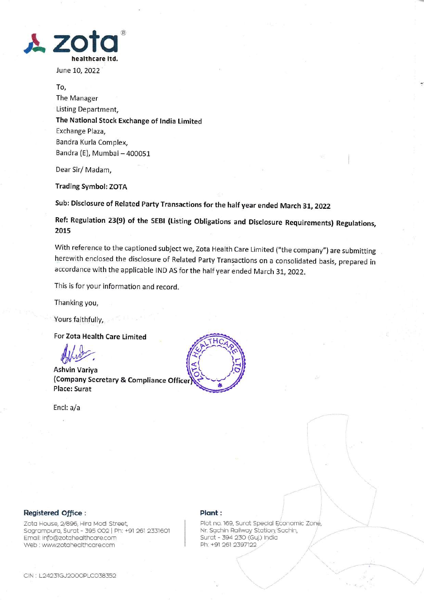

June L0, 2022

To, The Manager Listing Department, The National Stock Exchange of lndia Limited Exchange Plaza, Bandra Kurla Complex, Bandra (E), Mumbai-400051

Dear Sir/ Madam,

Trading Symbol: ZOTA

Sub: Disclosure of Related Party Transactions for the half year ended March 31, 2022

Ref: Regulation 23(9) of the SEBI (Listing obligations and Disclosure Requirements) Regulations, 2015

With reference to the captioned subject we, Zota Health Care Limited ("the company") are submitting herewith enclosed the disclosure of Related Party Transactions on a consolidated basis, prepared in accordance with the applicable IND AS for the half year ended March 31, 2022.

This is for your information and record.

Thanking you,

Yours faithfully,

For Zota Health Care limited

Affred Control Control Control Control Control Control Control Control Control Control Control Control Control Control Control Control Control Control Control Control Control Control Control Control Control Control Control

(Company Secretary & Compliance <sup>O</sup> Place: Surat

Encl: a/a



## Registered Office:

Zota House, 2/896, Hira Modi Street, Sagrampura, Surat - 395 002 | Ph: +91 261 2331601 Emoil: info@zotoheolthcore.com Web : www.zotoheolthcore.com

## Plant:  $\qquad \qquad$

Plot no. 169, Surat Special Economic Zone, Nr. Sachin Railway Station, Sachin, Surat - 394 23O (Guj.) Indio Ph: +91 261 2397122

 $\sim$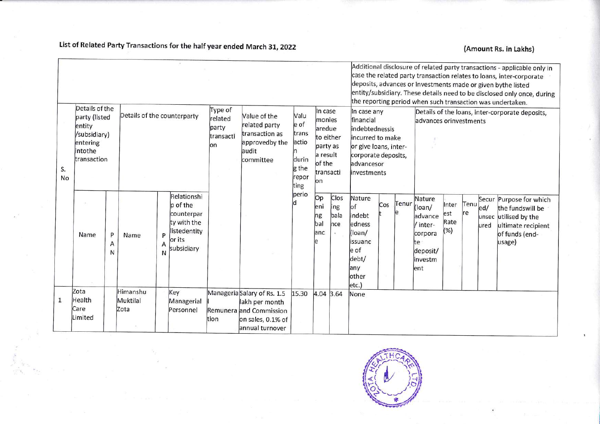List of Related Party Transactions for the half year ended March 31, 2022

## (Amount Rs. in Lakhs)

| Details of the<br>Details of the counterparty<br>party (listed<br>entity<br>/subsidiary)<br>entering<br>intothe<br>transaction<br>S. |                                          |             |                              |             | Type of<br>Value of the<br>related<br>related party<br>party<br>transaction as<br>transacti<br>approvedby the<br>lon<br>audit<br>committee |      |                                                                                                                  | In case<br>Valu<br>monies<br>le of<br>aredue<br>trans<br>to either<br>actio<br>party as<br>a result<br>durin<br>of the<br>g the |                               | Additional disclosure of related party transactions - applicable only in<br>case the related party transaction relates to loans, inter-corporate<br>deposits, advances or investments made or given bythe listed<br>entity/subsidiary. These details need to be disclosed only once, during<br>the reporting period when such transaction was undertaken.<br>In case any<br>Details of the loans, inter-corporate deposits,<br>financial<br>advances orinvestments<br>indebtednessis<br>incurred to make<br>or give loans, inter-<br>corporate deposits,<br>advancesor |                                                                                                   |     |       |                                                                                        |                             |             |             |                                                                                                                        |
|--------------------------------------------------------------------------------------------------------------------------------------|------------------------------------------|-------------|------------------------------|-------------|--------------------------------------------------------------------------------------------------------------------------------------------|------|------------------------------------------------------------------------------------------------------------------|---------------------------------------------------------------------------------------------------------------------------------|-------------------------------|------------------------------------------------------------------------------------------------------------------------------------------------------------------------------------------------------------------------------------------------------------------------------------------------------------------------------------------------------------------------------------------------------------------------------------------------------------------------------------------------------------------------------------------------------------------------|---------------------------------------------------------------------------------------------------|-----|-------|----------------------------------------------------------------------------------------|-----------------------------|-------------|-------------|------------------------------------------------------------------------------------------------------------------------|
| No                                                                                                                                   |                                          |             |                              |             |                                                                                                                                            |      |                                                                                                                  | repor<br>ting                                                                                                                   | lon                           | transacti<br>linvestments                                                                                                                                                                                                                                                                                                                                                                                                                                                                                                                                              |                                                                                                   |     |       |                                                                                        |                             |             |             |                                                                                                                        |
|                                                                                                                                      | Name                                     | P<br>Α<br>N | Name                         | P<br>Α<br>N | Relationshi<br>p of the<br>counterpar<br>ty with the<br>listedentity<br>or its<br>subsidiary                                               |      |                                                                                                                  | perio                                                                                                                           | Op<br>eni<br>ng<br>bal<br>anc | Clos<br>jng<br>bala<br>hce                                                                                                                                                                                                                                                                                                                                                                                                                                                                                                                                             | Nature<br>lof<br>indebt<br>edness<br>(loan/<br>lissuanc<br>e of<br>debt/<br>any<br>other<br>etc.) | Cos | Tenur | Nature<br>(loan/<br>advance<br>/ inter-<br>corpora<br>te<br>deposit/<br>investm<br>ent | Inter<br>est<br>Rate<br>(%) | Tenu<br>lre | ed <br>ured | Secur Purpose for which<br>the fundswill be<br>unsec utilised by the<br>ultimate recipient<br>of funds (end-<br>usage) |
| $\mathbf{1}$                                                                                                                         | Zota<br><b>Health</b><br>Care<br>Limited |             | Himanshu<br>Muktilal<br>Zota |             | Key<br>Managerial<br>Personnel                                                                                                             | tion | Manageria Salary of Rs. 1.5<br>lakh per month<br>Remunera and Commission<br>on sales, 0.1% of<br>annual turnover | 15.30                                                                                                                           | 4.04 3.64                     |                                                                                                                                                                                                                                                                                                                                                                                                                                                                                                                                                                        | None                                                                                              |     |       |                                                                                        |                             |             |             |                                                                                                                        |

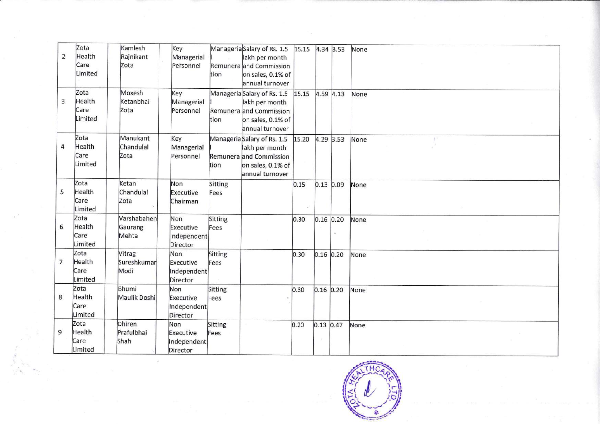| $\overline{2}$ | Zota<br>Health<br>Care<br>Limited | Kamlesh<br>Rajnikant<br>Zota    | Key<br>Managerial<br>Personnel              | tion            | Manageria Salary of Rs. 1.5<br>lakh per month<br>Remunera and Commission<br>on sales, 0.1% of<br>annual turnover | 15.15 |               | 4.34 3.53 | None |
|----------------|-----------------------------------|---------------------------------|---------------------------------------------|-----------------|------------------------------------------------------------------------------------------------------------------|-------|---------------|-----------|------|
| 3              | Zota<br>Health<br>Care<br>Limited | Moxesh<br>Ketanbhai<br>Zota     | Key<br>Managerial<br>Personnel              | tion            | Manageria Salary of Rs. 1.5<br>lakh per month<br>Remunera and Commission<br>on sales, 0.1% of<br>annual turnover | 15.15 |               | 4.59 4.13 | None |
| 4              | Zota<br>Health<br>Care<br>Limited | Manukant<br>Chandulal<br>Zota   | Key<br>Managerial<br>Personnel              | tion            | Manageria Salary of Rs. 1.5<br>lakh per month<br>Remunera and Commission<br>on sales, 0.1% of<br>annual turnover | 15.20 | 4.29 3.53     |           | None |
| 5              | Zota<br>Health<br>Care<br>Limited | Ketan<br>Chandulal<br>Zota      | Non<br>Executive<br>Chairman                | Sitting<br>Fees |                                                                                                                  | 0.15  | $0.13$ 0.09   |           | None |
| 6              | Zota<br>Health<br>Care<br>Limited | Varshabahen<br>Gaurang<br>Mehta | Non<br>Executive<br>Independent<br>Director | Sitting<br>Fees |                                                                                                                  | 0.30  | $0.16$ $0.20$ |           | None |
| $\overline{7}$ | Zota<br>Health<br>Care<br>Limited | Vitrag<br>Sureshkumar<br>Modi   | Non<br>Executive<br>Independent<br>Director | Sitting<br>Fees |                                                                                                                  | 0.30  | $0.16$ 0.20   |           | None |
| 8              | Zota<br>Health<br>Care<br>Limited | Bhumi<br>Maulik Doshi           | Non<br>Executive<br>Independent<br>Director | Sitting<br>Fees |                                                                                                                  | 0.30  | $0.16$ 0.20   |           | None |
| 9              | Zota<br>Health<br>Care<br>Limited | Dhiren<br>Prafulbhai<br>Shah    | Non<br>Executive<br>Independent<br>Director | Sitting<br>Fees |                                                                                                                  | 0.20  | $0.13$ 0.47   |           | None |

×

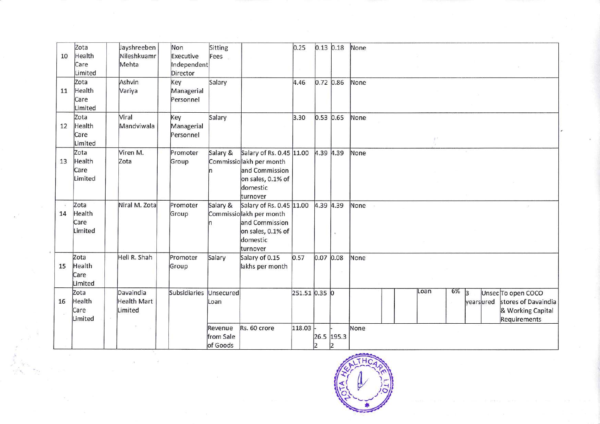| 10 | Zota<br>Health<br>Care<br>Limited | Jayshreeben<br>Nileshkuamr<br>Mehta        | Non<br>Executive<br>Independent<br>Director | Sitting<br>Fees                  |                                                                                                                    | 0.25          |               | $0.13$ 0.18      | None |      |    |              |           |                                                                                |
|----|-----------------------------------|--------------------------------------------|---------------------------------------------|----------------------------------|--------------------------------------------------------------------------------------------------------------------|---------------|---------------|------------------|------|------|----|--------------|-----------|--------------------------------------------------------------------------------|
| 11 | Zota<br>Health<br>Care<br>Limited | Ashvin<br>Variya                           | Key<br>Managerial<br>Personnel              | Salary                           |                                                                                                                    | 4.46          |               | 0.72 0.86        | None |      |    |              |           |                                                                                |
| 12 | Zota<br>Health<br>Care<br>Limited | Viral<br>Mandviwala                        | Key<br>Managerial<br>Personnel              | Salary                           |                                                                                                                    | 3.30          | $0.53$ $0.65$ |                  | None |      |    |              |           |                                                                                |
| 13 | Zota<br>Health<br>Care<br>Limited | Viren M.<br>Zota                           | Promoter<br>Group                           | Salary &<br>ln.                  | Salary of Rs. 0.45 11.00<br>Commissiolakh per month<br>and Commission<br>on sales, 0.1% of<br>domestic<br>turnover |               | 4.39 4.39     |                  | None |      |    |              |           |                                                                                |
| 14 | Zota<br>Health<br>Care<br>Limited | Niral M. Zota                              | Promoter<br>Group                           | Salary &                         | Salary of Rs. 0.45 11.00<br>Commissiolakh per month<br>and Commission<br>on sales, 0.1% of<br>domestic<br>turnover |               | 4.39 4.39     |                  | None |      |    |              |           |                                                                                |
| 15 | Zota<br>Health<br>Care<br>Limited | Heli R. Shah                               | Promoter<br>Group                           | Salary                           | Salary of 0.15<br>lakhs per month                                                                                  | 0.57          | 0.07 0.08     |                  | None |      |    |              |           |                                                                                |
| 16 | Zota<br>Health<br>Care<br>Limited | Davaindia<br><b>Health Mart</b><br>Limited | Subsidiaries                                | Unsecured<br>Loan                |                                                                                                                    | 251.51 0.35 0 |               |                  |      | Loan | 6% | $\mathsf{R}$ | yearsured | Unsec To open COCO<br>stores of Davaindia<br>& Working Capital<br>Requirements |
|    |                                   |                                            |                                             | Revenue<br>from Sale<br>of Goods | Rs. 60 crore                                                                                                       | 118.03        | 2             | 26.5 195.3<br> 2 | None |      |    |              |           |                                                                                |

 $\frac{1}{2}$ 

 $\frac{1}{\beta}$ 

 $\alpha$